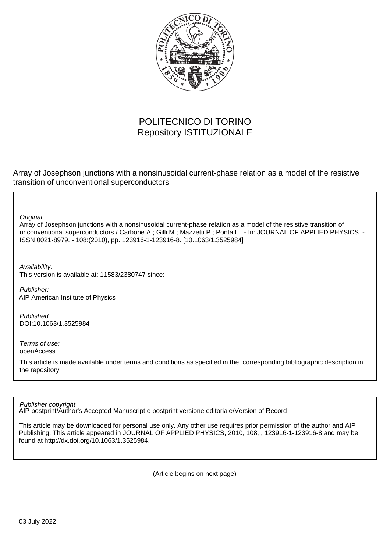

# POLITECNICO DI TORINO Repository ISTITUZIONALE

Array of Josephson junctions with a nonsinusoidal current-phase relation as a model of the resistive transition of unconventional superconductors

**Original** 

Array of Josephson junctions with a nonsinusoidal current-phase relation as a model of the resistive transition of unconventional superconductors / Carbone A.; Gilli M.; Mazzetti P.; Ponta L.. - In: JOURNAL OF APPLIED PHYSICS. - ISSN 0021-8979. - 108:(2010), pp. 123916-1-123916-8. [10.1063/1.3525984]

Availability: This version is available at: 11583/2380747 since:

Publisher: AIP American Institute of Physics

Published DOI:10.1063/1.3525984

Terms of use: openAccess

This article is made available under terms and conditions as specified in the corresponding bibliographic description in the repository

Publisher copyright

AIP postprint/Author's Accepted Manuscript e postprint versione editoriale/Version of Record

This article may be downloaded for personal use only. Any other use requires prior permission of the author and AIP Publishing. This article appeared in JOURNAL OF APPLIED PHYSICS, 2010, 108, , 123916-1-123916-8 and may be found at http://dx.doi.org/10.1063/1.3525984.

(Article begins on next page)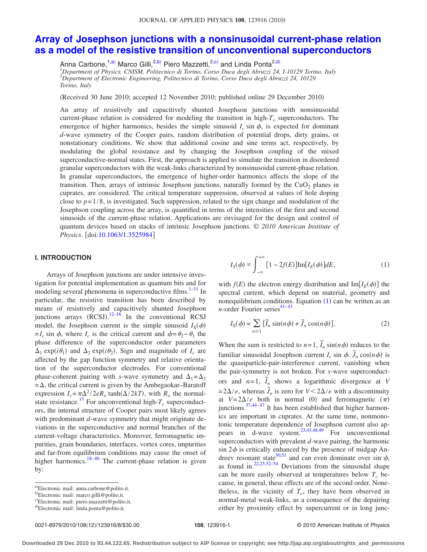# **[Array of Josephson junctions with a nonsinusoidal current-phase relation](http://dx.doi.org/10.1063/1.3525984) [as a model of the resistive transition of unconventional superconductors](http://dx.doi.org/10.1063/1.3525984)**

Anna Carbone,<sup>1,a)</sup> Marco Gilli,<sup>2,b)</sup> Piero Mazzetti,<sup>2,c)</sup> and Linda Ponta<sup>2,d)</sup><br><sup>1</sup>Department of Physics, CNISM, Politecnico di Torino, Corso Duca degli Abruzzi 24, I-10129 Torino, Italy

2 *Department of Electronic Engineering, Politecnico di Torino, Corso Duca degli Abruzzi 24, 10129 Torino, Italy*

(Received 30 June 2010; accepted 12 November 2010; published online 29 December 2010)

An array of resistively and capacitively shunted Josephson junctions with nonsinusoidal current-phase relation is considered for modeling the transition in high- $T_c$  superconductors. The emergence of higher harmonics, besides the simple sinusoid  $I_c$  sin  $\phi$ , is expected for dominant *d*-wave symmetry of the Cooper pairs, random distribution of potential drops, dirty grains, or nonstationary conditions. We show that additional cosine and sine terms act, respectively, by modulating the global resistance and by changing the Josephson coupling of the mixed superconductive-normal states. First, the approach is applied to simulate the transition in disordered granular superconductors with the weak-links characterized by nonsinusoidal current-phase relation. In granular superconductors, the emergence of higher-order harmonics affects the slope of the transition. Then, arrays of intrinsic Josephson junctions, naturally formed by the  $CuO<sub>2</sub>$  planes in cuprates, are considered. The critical temperature suppression, observed at values of hole doping close to  $p=1/8$ , is investigated. Such suppression, related to the sign change and modulation of the Josephson coupling across the array, is quantified in terms of the intensities of the first and second sinusoids of the current-phase relation. Applications are envisaged for the design and control of quantum devices based on stacks of intrinsic Josephson junctions. © *2010 American Institute of Physics*. [doi[:10.1063/1.3525984](http://dx.doi.org/10.1063/1.3525984)]

### **I. INTRODUCTION**

Arrays of Josephson junctions are under intensive investigation for potential implementation as quantum bits and for modeling several phenomena in superconductive films.<sup>1–11</sup> In particular, the resistive transition has been described by means of resistively and capacitively shunted Josephson junctions arrays  $(RCSJ)$ .<sup>12–16</sup> In the conventional RCSJ model, the Josephson current is the simple sinusoid  $I_S(\phi)$  $= I_c \sin \phi$ , where  $I_c$  is the critical current and  $\phi = \theta_2 - \theta_1$  the phase difference of the superconductor order parameters  $\Delta_1 \exp(i\theta_1)$  and  $\Delta_2 \exp(i\theta_2)$ . Sign and magnitude of  $I_c$  are affected by the gap function symmetry and relative orientation of the superconductor electrodes. For conventional phase-coherent pairing with *s*-wave symmetry and  $\Delta_1 = \Delta_2$  $=\Delta$ , the critical current is given by the Ambegaokar–Baratoff expression  $I_c = \pi \Delta^2 / 2eR_o \tanh(\Delta/2kT)$ , with  $R_o$  the normalstate resistance.<sup>17</sup> For unconventional high- $T_c$  superconductors, the internal structure of Cooper pairs most likely agrees with predominant *d*-wave symmetry that might originate deviations in the superconductive and normal branches of the current-voltage characteristics. Moreover, ferromagnetic impurities, grain boundaries, interfaces, vortex cores, impurities and far-from equilibrium conditions may cause the onset of higher harmonics.<sup>18–40</sup> The current-phase relation is given by:

$$
I_S(\phi) \propto \int_{-\infty}^{+\infty} [1 - 2f(E)] \text{Im}[I_E(\phi)] dE, \qquad (1)
$$

with  $f(E)$  the electron energy distribution and  $\text{Im}[I_E(\phi)]$  the spectral current, which depend on material, geometry and nonequilibrium conditions. Equation  $(1)$  can be written as an *n*-order Fourier series<sup>41-43</sup>

$$
I_{\rm S}(\phi) = \sum_{n \ge 1} \left[ \tilde{I}_n \sin(n\phi) + \tilde{J}_n \cos(n\phi) \right]. \tag{2}
$$

When the sum is restricted to  $n=1$ ,  $\tilde{I}_n \sin(n\phi)$  reduces to the familiar sinusoidal Josephson current  $I_c$  sin  $\phi$ .  $\tilde{J}_n \cos(n\phi)$  is the quasiparticle-pair-interference current, vanishing when the pair-symmetry is not broken. For *s*-wave superconductors and  $n=1$ ,  $\tilde{I}_n$  shows a logarithmic divergence at *V*  $= 2\Delta/e$ , whereas  $\tilde{J}_n$  is zero for  $V < 2\Delta/e$  with a discontinuity at  $V=2\Delta/e$  both in normal (0) and ferromagnetic  $(\pi)$ junctions. $37,44-47$  It has been established that higher harmonics are important in cuprates. At the same time, nonmonotonic temperature dependence of Josephson current also appears in d-wave system.  $23,43,48,49$  For unconventional superconductors with prevalent *d*-wave pairing, the harmonic  $\sin 2\phi$  is critically enhanced by the presence of midgap Andreev resonant state<sup>50,51</sup> and can even dominate over sin  $\phi$ , as found in. $22,23,52-54$  Deviations from the sinusoidal shape can be more easily observed at temperatures below  $T_c$  because, in general, these effects are of the second order. Nonetheless, in the vicinity of  $T_c$ , they have been observed in normal-metal weak-links, as a consequence of the depairing either by proximity effect by supercurrent or in long junc-

a)Electronic mail: anna.carbone@polito.it.

b Electronic mail: marco.gilli@polito.it.

c Electronic mail: piero.mazzetti@polito.it.

d Electronic mail: linda.ponta@polito.it.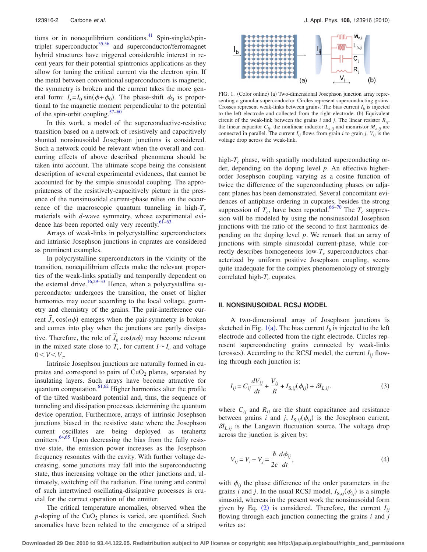tions or in nonequilibrium conditions.<sup>41</sup> Spin-singlet/spintriplet superconductor $55,56$  and superconductor/ferromagnet hybrid structures have triggered considerable interest in recent years for their potential spintronics applications as they allow for tuning the critical current via the electron spin. If the metal between conventional superconductors is magnetic, the symmetry is broken and the current takes the more general form:  $I_s = I_0 \sin(\phi + \phi_0)$ . The phase-shift  $\phi_0$  is proportional to the magnetic moment perpendicular to the potential of the spin-orbit coupling.57–60

In this work, a model of the superconductive-resistive transition based on a network of resistively and capacitively shunted nonsinusoidal Josephson junctions is considered. Such a network could be relevant when the overall and concurring effects of above described phenomena should be taken into account. The ultimate scope being the consistent description of several experimental evidences, that cannot be accounted for by the simple sinusoidal coupling. The appropriateness of the resistively-capacitively picture in the presence of the nonsinusoidal current-phase relies on the occurrence of the macroscopic quantum tunneling in high- $T_c$ materials with *d*-wave symmetry, whose experimental evidence has been reported only very recently. $61-63$ 

Arrays of weak-links in polycrystalline superconductors and intrinsic Josephson junctions in cuprates are considered as prominent examples.

In polycrystalline superconductors in the vicinity of the transition, nonequilibrium effects make the relevant properties of the weak-links spatially and temporally dependent on the external drive.<sup>16,29–33</sup> Hence, when a polycrystalline superconductor undergoes the transition, the onset of higher harmonics may occur according to the local voltage, geometry and chemistry of the grains. The pair-interference current  $\tilde{J}_n \cos(n\phi)$  emerges when the pair-symmetry is broken and comes into play when the junctions are partly dissipative. Therefore, the role of  $\tilde{J}_n \cos(n\phi)$  may become relevant in the mixed state close to  $T_c$ , for current  $I \sim I_c$  and voltage  $0 < V < V_c$ .

Intrinsic Josephson junctions are naturally formed in cuprates and correspond to pairs of  $CuO<sub>2</sub>$  planes, separated by insulating layers. Such arrays have become attractive for quantum computation. $61,62$  Higher harmonics alter the profile of the tilted washboard potential and, thus, the sequence of tunneling and dissipation processes determining the quantum device operation. Furthermore, arrays of intrinsic Josephson junctions biased in the resistive state where the Josephson current oscillates are being deployed as terahertz emitters. $64,65$  Upon decreasing the bias from the fully resistive state, the emission power increases as the Josephson frequency resonates with the cavity. With further voltage decreasing, some junctions may fall into the superconducting state, thus increasing voltage on the other junctions and, ultimately, switching off the radiation. Fine tuning and control of such intertwined oscillating-dissipative processes is crucial for the correct operation of the emitter.

The critical temperature anomalies, observed when the  $p$ -doping of the CuO<sub>2</sub> planes is varied, are quantified. Such anomalies have been related to the emergence of a striped



FIG. 1. (Color online) (a) Two-dimensional Josephson junction array representing a granular superconductor. Circles represent superconducting grains. Crosses represent weak-links between grains. The bias current  $I<sub>b</sub>$  is injected to the left electrode and collected from the right electrode. (b) Equivalent circuit of the weak-link between the grains  $i$  and  $j$ . The linear resistor  $R_{ij}$ , the linear capacitor  $C_{ij}$ , the nonlinear inductor  $L_{n,ij}$  and memristor  $M_{n,ij}$  are connected in parallel. The current  $I_{ij}$  flows from grain *i* to grain *j*.  $V_{ij}$  is the voltage drop across the weak-link.

high- $T_c$  phase, with spatially modulated superconducting order, depending on the doping level *p*. An effective higherorder Josephson coupling varying as a cosine function of twice the difference of the superconducting phases on adjacent planes has been demonstrated. Several concomitant evidences of antiphase ordering in cuprates, besides the strong suppression of  $T_c$ , have been reported.<sup>66–70</sup> The  $T_c$  suppression will be modeled by using the nonsinusoidal Josephson junctions with the ratio of the second to first harmonics depending on the doping level *p*. We remark that an array of junctions with simple sinusoidal current-phase, while correctly describes homogeneous low- $T_c$  superconductors characterized by uniform positive Josephson coupling, seems quite inadequate for the complex phenomenology of strongly correlated high- $T_c$  cuprates.

#### **II. NONSINUSOIDAL RCSJ MODEL**

A two-dimensional array of Josephson junctions is sketched in Fig.  $1(a)$ . The bias current  $I_b$  is injected to the left electrode and collected from the right electrode. Circles represent superconducting grains connected by weak-links (crosses). According to the RCSJ model, the current  $I_{ij}$  flowing through each junction is:

$$
I_{ij} = C_{ij} \frac{dV_{ij}}{dt} + \frac{V_{ij}}{R} + I_{S,ij}(\phi_{ij}) + \delta I_{L,ij}.
$$
 (3)

where  $C_{ij}$  and  $R_{ij}$  are the shunt capacitance and resistance between grains *i* and *j*,  $I_{S,ij}(\phi_{ij})$  is the Josephson current,  $\delta I_{L,ij}$  is the Langevin fluctuation source. The voltage drop across the junction is given by:

$$
V_{ij} = V_i - V_j = \frac{\hbar}{2e} \frac{d\phi_{ij}}{dt},\tag{4}
$$

with  $\phi_{ij}$  the phase difference of the order parameters in the grains *i* and *j*. In the usual RCSJ model,  $I_{S,ij}(\phi_{ij})$  is a simple sinusoid, whereas in the present work the nonsinusoidal form given by Eq.  $(2)$  is considered. Therefore, the current  $I_{ij}$ flowing through each junction connecting the grains *i* and *j* writes as: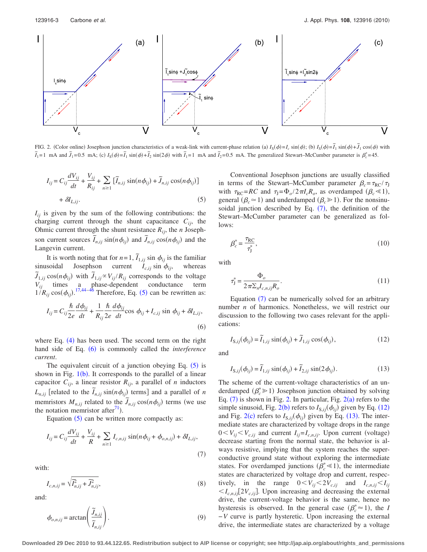

FIG. 2. (Color online) Josephson junction characteristics of a weak-link with current-phase relation (a)  $I_s(\phi) = I_c \sin(\phi)$ ; (b)  $I_s(\phi) = \tilde{I}_1 \sin(\phi) + \tilde{J}_1 \cos(\phi)$  with  $\tilde{I}_1$  = 1 mA and  $\tilde{J}_1$  = 0.5 mA; (c)  $I_S(\phi) = \tilde{I}_1 \sin(\phi) + \tilde{I}_2 \sin(2\phi)$  with  $\tilde{I}_1$  = 1 mA and  $\tilde{I}_2$  = 0.5 mA. The generalized Stewart–McCumber parameter is  $\beta_c^* = 45$ .

$$
I_{ij} = C_{ij} \frac{dV_{ij}}{dt} + \frac{V_{ij}}{R_{ij}} + \sum_{n \ge 1} \left[ \tilde{I}_{n,ij} \sin(n\phi_{ij}) + \tilde{J}_{n,ij} \cos(n\phi_{ij}) \right] + \delta I_{L,ij}.
$$
\n(5)

 $I_{ij}$  is given by the sum of the following contributions: the charging current through the shunt capacitance  $C_{ij}$ , the Ohmic current through the shunt resistance *Rij*, the *n* Josephson current sources  $\tilde{I}_{n,ij}$  sin( $n\phi_{ij}$ ) and  $\tilde{J}_{n,ij}$  cos( $n\phi_{ij}$ ) and the Langevin current.

It is worth noting that for  $n=1$ ,  $\tilde{I}_{1,ij}$  sin  $\phi_{ij}$  is the familiar sinusoidal Josephson current  $I_{c,ij}$  sin  $\phi_{ij}$ , whereas  $\tilde{J}_{1,ij}$  cos $(n\phi_{ij})$  with  $\tilde{J}_{1,ij} \propto V_{ij}/R_{ij}$  corresponds to the voltage *Vij* times a phase-dependent conductance term  $1/R_{ij}\cos(\phi_{ij})$ .<sup>17,44–46</sup> Therefore, Eq. (5) can be rewritten as:

$$
I_{ij} = C_{ij} \frac{\hbar}{2e} \frac{d\phi_{ij}}{dt} + \frac{1}{R_{ij}} \frac{\hbar}{2e} \frac{d\phi_{ij}}{dt} \cos \phi_{ij} + I_{c,ij} \sin \phi_{ij} + \delta I_{L,ij},
$$
\n(6)

where Eq.  $(4)$  has been used. The second term on the right hand side of Eq. (6) is commonly called the *interference current*.

The equivalent circuit of a junction obeying Eq.  $(5)$  is shown in Fig.  $1(b)$ . It corresponds to the parallel of a linear capacitor  $C_{ij}$ , a linear resistor  $R_{ij}$ , a parallel of *n* inductors *L<sub>n,ij</sub>* [related to the  $\tilde{I}_{n,ij}$  sin( $n\phi_{ij}$ ) terms] and a parallel of *n* memristors  $M_{n,ij}$  related to the  $\tilde{J}_{n,ij} \cos(n\phi_{ij})$  terms (we use the notation memristor after $\binom{1}{1}$ .

Equation  $(5)$  can be written more compactly as:

$$
I_{ij} = C_{ij} \frac{dV_{ij}}{dt} + \frac{V_{ij}}{R} + \sum_{n \ge 1} I_{c,n,ij} \sin(n\phi_{ij} + \phi_{o,n,ij}) + \delta I_{L,ij},
$$
\n(7)

with:

$$
I_{c,n,ij} = \sqrt{\overline{I_{n,ij}^2 + \overline{J_{n,ij}^2}}},\tag{8}
$$

and:

$$
\phi_{o,n,ij} = \arctan\left(\frac{\widetilde{J}_{n,ij}}{\widetilde{I}_{n,ij}}\right).
$$
\n(9)

Conventional Josephson junctions are usually classified in terms of the Stewart–McCumber parameter  $\beta_c = \tau_{RC}/\tau_J$ with  $\tau_{RC} = RC$  and  $\tau_J = \Phi_o / 2\pi I_c R_o$ , as overdamped  $(\beta_c \ll 1)$ , general ( $\beta_c \approx 1$ ) and underdamped ( $\beta_c \gg 1$ ). For the nonsinusoidal junction described by Eq.  $(7)$ , the definition of the Stewart–McCumber parameter can be generalized as follows:

$$
\beta_c^* = \frac{\tau_{\rm RC}}{\tau_{\rm J}^*},\tag{10}
$$

with

$$
\tau_{\mathbf{j}}^* = \frac{\Phi_o}{2\pi \Sigma_n I_{c,n,i\mathbf{j}} R_o}.\tag{11}
$$

Equation  $(7)$  can be numerically solved for an arbitrary number *n* of harmonics. Nonetheless, we will restrict our discussion to the following two cases relevant for the applications:

$$
I_{\mathcal{S},ij}(\phi_{ij}) = \widetilde{I}_{1,ij} \sin(\phi_{ij}) + \widetilde{J}_{1,ij} \cos(\phi_{ij}),
$$
\n(12)

and

$$
I_{\mathbf{S},ij}(\phi_{ij}) = \widetilde{I}_{1,ij} \sin(\phi_{ij}) + \widetilde{I}_{2,ij} \sin(2\phi_{ij}).
$$
 (13)

The scheme of the current-voltage characteristics of an underdamped  $(\beta_c^* \geq 1)$  Josephson junction obtained by solving Eq.  $(7)$  is shown in Fig. 2. In particular, Fig.  $2(a)$  refers to the simple sinusoid, Fig. 2(b) refers to  $I_{S,ij}(\phi_{ij})$  given by Eq. (12) and Fig. 2(c) refers to  $I_{S,ij}(\phi_{ij})$  given by Eq. (13). The intermediate states are characterized by voltage drops in the range  $0 < V_{ij} < V_{c,ij}$  and current  $I_{ij} = I_{c,n,ij}$ . Upon current (voltage) decrease starting from the normal state, the behavior is always resistive, implying that the system reaches the superconductive ground state without exploring the intermediate states. For overdamped junctions  $(\overline{\beta}_c^* \le 1)$ , the intermediate states are characterized by voltage drop and current, respectively, in the range  $0 < V_{ij} < 2V_{c,ij}$  and  $I_{c,n,ij} < I_{ij}$  $I_{c,n,i}$ [2 $V_{c,i}$ ]. Upon increasing and decreasing the external drive, the current-voltage behavior is the same, hence no hysteresis is observed. In the general case  $(\beta_c^* \approx 1)$ , the *I* −*V* curve is partly hysteretic. Upon increasing the external drive, the intermediate states are characterized by a voltage

**Downloaded 29 Dec 2010 to 93.44.122.65. Redistribution subject to AIP license or copyright; see http://jap.aip.org/about/rights\_and\_permissions**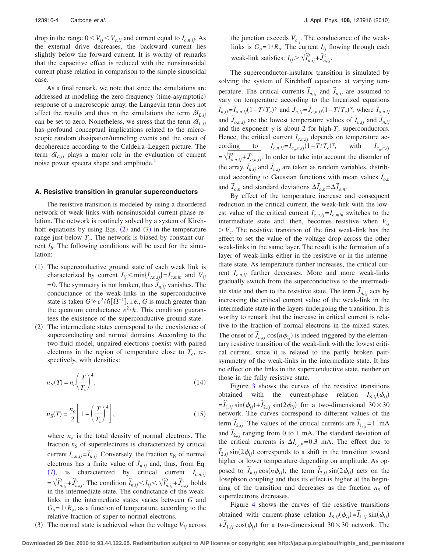drop in the range  $0 < V_{ij} < V_{c,ij}$  and current equal to  $I_{c,n,ij}$ . As the external drive decreases, the backward current lies slightly below the forward current. It is worthy of remarks that the capacitive effect is reduced with the nonsinusoidal current phase relation in comparison to the simple sinusoidal case.

As a final remark, we note that since the simulations are addressed at modeling the zero-frequency (time-asymptotic) response of a macroscopic array, the Langevin term does not affect the results and thus in the simulations the term  $\delta I_{L,ij}$ can be set to zero. Nonetheless, we stress that the term  $\delta I_{L,ij}$ has profound conceptual implications related to the microscopic random dissipation/tunneling events and the onset of decoherence according to the Caldeira–Leggett picture. The term  $\delta I_{L,ij}$  plays a major role in the evaluation of current noise power spectra shape and amplitude.<sup>1</sup>

## **A. Resistive transition in granular superconductors**

The resistive transition is modeled by using a disordered network of weak-links with nonsinusoidal current-phase relation. The network is routinely solved by a system of Kirchhoff equations by using Eqs.  $(2)$  and  $(7)$  in the temperature range just below  $T_c$ . The network is biased by constant current  $I<sub>b</sub>$ . The following conditions will be used for the simulation:

- (1) The superconductive ground state of each weak link is characterized by current  $I_{ij}$  <  $\min\{I_{c,n,ij}\}=I_{c,min}$  and  $V_{ij}$  $= 0$ . The symmetry is not broken, thus  $\tilde{J}_{n,ij}$  vanishes. The conductance of the weak-links in the superconductive state is taken  $G \geq e^2 / \hbar [\Omega^{-1}]$ , i.e., *G* is much greater than the quantum conductance  $e^2/\hbar$ . This condition guarantees the existence of the superconductive ground state.
- (2) The intermediate states correspond to the coexistence of superconducting and normal domains. According to the two-fluid model, unpaired electrons coexist with paired electrons in the region of temperature close to  $T_c$ , respectively, with densities:

$$
n_{\rm N}(T) = n_o \left(\frac{T}{T_c}\right)^4,\tag{14}
$$

$$
n_{\rm S}(T) = \frac{n_o}{2} \left[ 1 - \left(\frac{T}{T_c}\right)^4 \right],\tag{15}
$$

where  $n<sub>o</sub>$  is the total density of normal electrons. The fraction  $n<sub>S</sub>$  of superelectrons is characterized by critical current  $I_{c,n,j} = \tilde{I}_{n,j}$ . Conversely, the fraction  $n_N$  of normal electrons has a finite value of  $\tilde{J}_{n,ij}$  and, thus, from Eq.  $(7)$ , is characterized by critical current  $I_{c,n,ij}$  $= \sqrt{\overline{I}_{n,ij}^2 + \overline{J}_{n,ij}^2}$ . The condition  $\overline{I}_{n,ij} < I_{ij} < \sqrt{\overline{I}_{n,ij}^2 + \overline{J}_{n,ij}^2}$  holds in the intermediate state. The conductance of the weaklinks in the intermediate states varies between *G* and  $G<sub>o</sub>=1/R<sub>o</sub>$ , as a function of temperature, according to the relative fraction of super to normal electrons.

(3) The normal state is achieved when the voltage  $V_{ij}$  across

the junction exceeds  $V_{c_{ij}}$ . The conductance of the weaklinks is  $G<sub>o</sub>=1/R<sub>o</sub>$ . The current  $I<sub>ij</sub>$  flowing through each weak-link satisfies:  $I_{ij} > \sqrt{\overline{I}_{n,ij}^2 + \overline{J}_{n,ij}^2}$ .

The superconductor-insulator transition is simulated by solving the system of Kirchhoff equations at varying temperature. The critical currents  $\tilde{I}_{n,ij}$  and  $\tilde{J}_{n,ij}$  are assumed to vary on temperature according to the linearized equations  $\tilde{I}_{n,ij} = \tilde{I}_{o,n,ij} (1 - T/T_c)^{\gamma}$  and  $\tilde{J}_{n,ij} = \tilde{J}_{o,n,ij} (1 - T/T_c)^{\gamma}$ , where  $\tilde{I}_{o,n,ij}$ and  $\tilde{J}_{o,n,ij}$  are the lowest temperature values of  $\tilde{I}_{n,ij}$  and  $\tilde{J}_{n,ij}$  and  $\tilde{J}_{n,ij}$ and the exponent  $\gamma$  is about 2 for high- $T_c$  superconductors. Hence, the critical current  $I_{c,n,ij}$  depends on temperature according to  $I_{c,n,ij}=I_{c_o,n,ij}(1-T/T_c)$ with  $I_{c_o,n,ij}$  $= \sqrt{\overline{I}_{o,n,ij}^2 + \overline{J}_{o,n,ij}^2}$ . In order to take into account the disorder of the array,  $\tilde{I}_{n,ij}$  and  $\tilde{J}_{n,ij}$  are taken as random variables, distributed according to Gaussian functions with mean values  $\tilde{I}_{o,n}$ and  $\tilde{J}_{o,n}$  and standard deviations  $\Delta \tilde{I}_{o,n} = \Delta \tilde{J}_{o,n}$ .

By effect of the temperature increase and consequent reduction in the critical current, the weak-link with the lowest value of the critical current  $I_{c,n,ij}=I_{c,min}$  switches to the intermediate state and, then, becomes resistive when  $V_{ij}$  $V_c$ . The resistive transition of the first weak-link has the effect to set the value of the voltage drop across the other weak-links in the same layer. The result is the formation of a layer of weak-links either in the resistive or in the intermediate state. As temperature further increases, the critical current  $I_{c,n,ii}$  further decreases. More and more weak-links gradually switch from the superconductive to the intermediate state and then to the resistive state. The term  $\tilde{J}_{n,ij}$  acts by increasing the critical current value of the weak-link in the intermediate state in the layers undergoing the transition. It is worthy to remark that the increase in critical current is relative to the fraction of normal electrons in the mixed states. The onset of  $\tilde{J}_{n,ij}$  cos $(n\phi_{ij})$  is indeed triggered by the elementary resistive transition of the weak-link with the lowest critical current, since it is related to the partly broken pairsymmetry of the weak-links in the intermediate state. It has no effect on the links in the superconductive state, neither on those in the fully resistive state.

Figure 3 shows the curves of the resistive transitions obtained with the current-phase relation  $I_{S,ij}(\phi_{ij})$  $=\tilde{I}_{1,ij} \sin(\phi_{ij}) + \tilde{I}_{2,ij} \sin(2\phi_{ij})$  for a two-dimensional  $30 \times 30$ network. The curves correspond to different values of the term  $\tilde{I}_{2,ij}$ . The values of the critical currents are  $\tilde{I}_{1,ij}=1$  mA and  $\tilde{I}_{2,ij}$  ranging from 0 to 1 mA. The standard deviation of the critical currents is  $\Delta I_{c,n} = 0.3$  mA. The effect due to  $\tilde{I}_{2,ij}$  sin( $2\phi_{ij}$ ) corresponds to a shift in the transition toward higher or lower temperature depending on amplitude. As opposed to  $\tilde{J}_{n,ij}$  cos $(n\phi_{ij})$ , the term  $\tilde{I}_{2,ij}$  sin $(2\phi_{ij})$  acts on the Josephson coupling and thus its effect is higher at the beginning of the transition and decreases as the fraction  $n<sub>S</sub>$  of superelectrons decreases.

Figure 4 shows the curves of the resistive transitions obtained with current-phase relation  $I_{S,ij}(\phi_{ij}) = \tilde{I}_{1,ij} \sin(\phi_{ij})$  $+\tilde{J}_{1,ij}\cos(\phi_{ij})$  for a two-dimensional  $30\times30$  network. The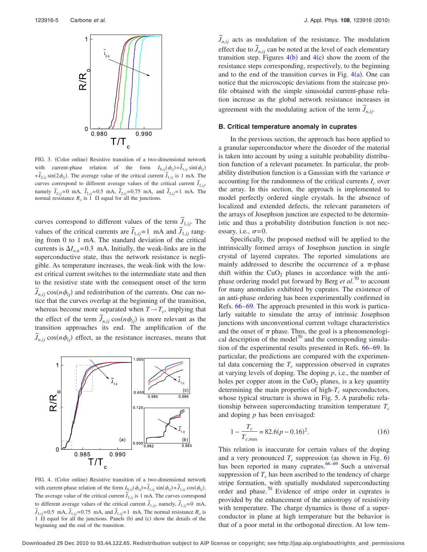

FIG. 3. (Color online) Resistive transition of a two-dimensional network with current-phase relation of the form  $I_{S,ij}(\phi_{ij}) = \tilde{I}_{1,ij} \sin(\phi_{ij})$  $+\tilde{I}_{2,ij}$  sin( $2\phi_{ij}$ ). The average value of the critical current  $\tilde{I}_{1,ij}$  is 1 mA. The curves correspond to different average values of the critical current  $\tilde{I}_{2,ij}$ , namely  $\tilde{I}_{2,ij}=0$  mA,  $\tilde{I}_{2,ij}=0.5$  mA,  $\tilde{I}_{2,ij}=0.75$  mA, and  $\tilde{I}_{2,ij}=1$  mA. The normal resistance  $R_o$  is 1  $\Omega$  equal for all the junctions.

curves correspond to different values of the term  $\tilde{J}_{1,ij}$ . The values of the critical currents are  $\tilde{I}_{1,ij}=1$  mA and  $\tilde{J}_{1,ij}$  ranging from 0 to 1 mA. The standard deviation of the critical currents is  $\Delta I_{o,n}$ =0.3 mA. Initially, the weak-links are in the superconductive state, thus the network resistance is negligible. As temperature increases, the weak-link with the lowest critical current switches to the intermediate state and then to the resistive state with the consequent onset of the term  $\tilde{J}_{n,ij}$  cos $(n\phi_{ij})$  and redistribution of the currents. One can notice that the curves overlap at the beginning of the transition, whereas become more separated when  $T \rightarrow T_c$ , implying that the effect of the term  $\tilde{J}_{n,ij}$  cos $(n\phi_{ij})$  is more relevant as the transition approaches its end. The amplification of the  $\tilde{J}_{n,ij}$  cos $(n\phi_{ij})$  effect, as the resistance increases, means that



FIG. 4. (Color online) Resistive transition of a two-dimensional network with current-phase relation of the form  $I_{S,ij}(\phi_{ij}) = \tilde{I}_{1,ij} \sin(\phi_{ij}) + \tilde{J}_{1,ij} \cos(\phi_{ij}).$ The average value of the critical current  $\tilde{I}_{1,ij}$  is 1 mA. The curves correspond to different average values of the critical current  $\tilde{J}_{1,ij}$ , namely,  $\tilde{J}_{1,ij} = 0$  mA, *J*  $\tilde{J}_{1,ij} = 0.5 \text{ mA}, \tilde{J}_{1,ij} = 0.75 \text{ mA}, \text{ and } \tilde{J}_{1,ij} = 1 \text{ mA}. \text{ The normal resistance } R_o \text{ is }$ 1  $\Omega$  equal for all the junctions. Panels (b) and (c) show the details of the beginning and the end of the transition.

 $\tilde{J}_{n,ij}$  acts as modulation of the resistance. The modulation effect due to  $\tilde{J}_{n,ij}$  can be noted at the level of each elementary transition step. Figures  $4(b)$  and  $4(c)$  show the zoom of the resistance steps corresponding, respectively, to the beginning and to the end of the transition curves in Fig.  $4(a)$ . One can notice that the microscopic deviations from the staircase profile obtained with the simple sinusoidal current-phase relation increase as the global network resistance increases in agreement with the modulating action of the term  $\tilde{J}_{n,ij}$ .

#### **B. Critical temperature anomaly in cuprates**

In the previous section, the approach has been applied to a granular superconductor where the disorder of the material is taken into account by using a suitable probability distribution function of a relevant parameter. In particular, the probability distribution function is a Gaussian with the variance  $\sigma$ accounting for the randomness of the critical currents  $I_c$  over the array. In this section, the approach is implemented to model perfectly ordered single crystals. In the absence of localized and extended defects, the relevant parameters of the arrays of Josephson junction are expected to be deterministic and thus a probability distribution function is not necessary, i.e.,  $\sigma = 0$ .

Specifically, the proposed method will be applied to the intrinsically formed arrays of Josephson junction in single crystal of layered cuprates. The reported simulations are mainly addressed to describe the occurrence of a  $\pi$ -phase shift within the  $CuO<sub>2</sub>$  planes in accordance with the antiphase ordering model put forward by Berg *et al.*<sup>70</sup> to account for many anomalies exhibited by cuprates. The existence of an anti-phase ordering has been experimentally confirmed in Refs. 66–69. The approach presented in this work is particularly suitable to simulate the array of intrinsic Josephson junctions with unconventional current voltage characteristics and the onset of  $\pi$  phase. Thus, the goal is a phenomenological description of the model $^{70}$  and the corresponding simulation of the experimental results presented in Refs. 66–69. In particular, the predictions are compared with the experimental data concerning the  $T_c$  suppression observed in cuprates at varying levels of doping. The doping *p*, i.e., the number of holes per copper atom in the  $CuO<sub>2</sub>$  planes, is a key quantity determining the main properties of high- $T_c$  superconductors, whose typical structure is shown in Fig. 5. A parabolic relationship between superconducting transition temperature  $T_c$ and doping *p* has been envisaged:

$$
1 - \frac{T_c}{T_{c,\text{max}}} = 82.6(p - 0.16)^2.
$$
 (16)

This relation is inaccurate for certain values of the doping and a very pronounced  $T_c$  suppression (as shown in Fig. 6) has been reported in many cuprates. $66-69$  Such a universal suppression of  $T_c$  has been ascribed to the tendency of charge stripe formation, with spatially modulated superconducting order and phase.<sup>70</sup> Evidence of stripe order in cuprates is provided by the enhancement of the anisotropy of resistivity with temperature. The charge dynamics is those of a superconductor in plane at high temperature but the behavior is that of a poor metal in the orthogonal direction. At low tem-

**Downloaded 29 Dec 2010 to 93.44.122.65. Redistribution subject to AIP license or copyright; see http://jap.aip.org/about/rights\_and\_permissions**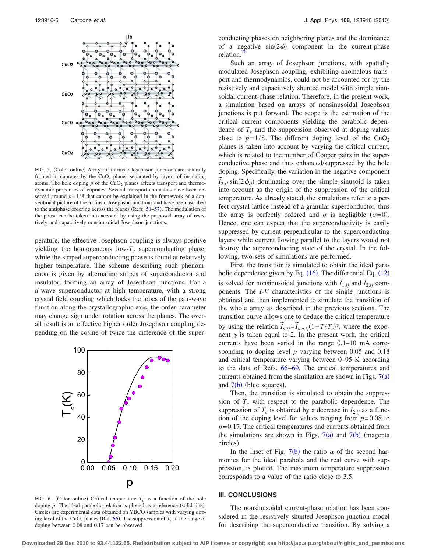

FIG. 5. (Color online) Arrays of intrinsic Josephson junctions are naturally formed in cuprates by the  $CuO<sub>2</sub>$  planes separated by layers of insulating atoms. The hole doping  $p$  of the CuO<sub>2</sub> planes affects transport and thermodynamic properties of cuprates. Several transport anomalies have been observed around  $p=1/8$  that cannot be explained in the framework of a conventional picture of the intrinsic Josephson junctions and have been ascribed to the antiphase ordering across the planes (Refs.  $51-57$ ). The modulation of the phase can be taken into account by using the proposed array of resistively and capacitively nonsinusoidal Josephson junctions.

perature, the effective Josephson coupling is always positive yielding the homogeneous low- $T_c$  superconducting phase, while the striped superconducting phase is found at relatively higher temperature. The scheme describing such phenomenon is given by alternating stripes of superconductor and insulator, forming an array of Josephson junctions. For a *d*-wave superconductor at high temperature, with a strong crystal field coupling which locks the lobes of the pair-wave function along the crystallographic axis, the order parameter may change sign under rotation across the planes. The overall result is an effective higher order Josephson coupling depending on the cosine of twice the difference of the super-



FIG. 6. (Color online) Critical temperature  $T_c$  as a function of the hole doping  $p$ . The ideal parabolic relation is plotted as a reference (solid line). Circles are experimental data obtained on YBCO samples with varying doping level of the CuO<sub>2</sub> planes (Ref. 66). The suppression of  $T_c$  in the range of doping between 0.08 and 0.17 can be observed.

conducting phases on neighboring planes and the dominance of a negative  $sin(2\phi)$  component in the current-phase relation. $\frac{\pi}{2}$ 

Such an array of Josephson junctions, with spatially modulated Josephson coupling, exhibiting anomalous transport and thermodynamics, could not be accounted for by the resistively and capacitively shunted model with simple sinusoidal current-phase relation. Therefore, in the present work, a simulation based on arrays of nonsinusoidal Josephson junctions is put forward. The scope is the estimation of the critical current components yielding the parabolic dependence of  $T_c$  and the suppression observed at doping values close to  $p=1/8$ . The different doping level of the CuO<sub>2</sub> planes is taken into account by varying the critical current, which is related to the number of Cooper pairs in the superconductive phase and thus enhanced/suppressed by the hole doping. Specifically, the variation in the negative component  $\tilde{I}_{2,ij}$  sin( $2\phi_{ij}$ ) dominating over the simple sinusoid is taken into account as the origin of the suppression of the critical temperature. As already stated, the simulations refer to a perfect crystal lattice instead of a granular superconductor, thus the array is perfectly ordered and  $\sigma$  is negligible  $(\sigma=0)$ . Hence, one can expect that the superconductivity is easily suppressed by current perpendicular to the superconducting layers while current flowing parallel to the layers would not destroy the superconducting state of the crystal. In the following, two sets of simulations are performed.

First, the transition is simulated to obtain the ideal parabolic dependence given by Eq.  $(16)$ . The differential Eq.  $(12)$ is solved for nonsinusoidal junctions with  $\tilde{I}_{1,ij}$  and  $\tilde{I}_{2,ij}$  components. The *I*-*V* characteristics of the single junctions is obtained and then implemented to simulate the transition of the whole array as described in the previous sections. The transition curve allows one to deduce the critical temperature by using the relation  $\overline{I}_{n,ij} = \overline{I}_{o,n,ij} (1 - T/T_c)^{\gamma}$ , where the exponent  $\gamma$  is taken equal to 2. In the present work, the critical currents have been varied in the range 0.1–10 mA corresponding to doping level *p* varying between 0.05 and 0.18 and critical temperature varying between 0–95 K according to the data of Refs. 66–69. The critical temperatures and currents obtained from the simulation are shown in Figs.  $7(a)$ and  $7(b)$  (blue squares).

Then, the transition is simulated to obtain the suppression of  $T_c$  with respect to the parabolic dependence. The suppression of  $T_c$  is obtained by a decrease in  $I_{2,ij}$  as a function of the doping level for values ranging from  $p=0.08$  to *p*= 0.17. The critical temperatures and currents obtained from the simulations are shown in Figs.  $7(a)$  and  $7(b)$  (magenta circles).

In the inset of Fig. 7(b) the ratio  $\alpha$  of the second harmonics for the ideal parabola and the real curve with suppression, is plotted. The maximum temperature suppression corresponds to a value of the ratio close to 3.5.

#### **III. CONCLUSIONS**

The nonsinusoidal current-phase relation has been considered in the resistively shunted Josephson junction model for describing the superconductive transition. By solving a

**Downloaded 29 Dec 2010 to 93.44.122.65. Redistribution subject to AIP license or copyright; see http://jap.aip.org/about/rights\_and\_permissions**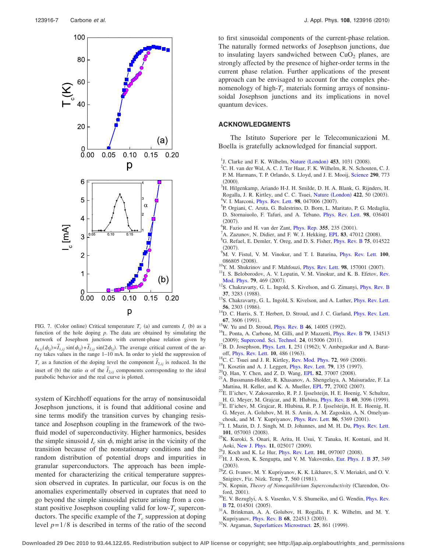

FIG. 7. (Color online) Critical temperature  $T_c$  (a) and currents  $I_c$  (b) as a function of the hole doping *p*. The data are obtained by simulating the network of Josephson junctions with current-phase relation given by  $I_{S,ij}(\phi_{ij}) = \tilde{I}_{1,ij} \sin(\phi_{ij}) + \tilde{I}_{2,ij} \sin(2\phi_{ij})$ . The average critical current of the array takes values in the range 1–10 mA. In order to yield the suppression of *T<sub>c</sub>* as a function of the doping level the component  $\tilde{I}_{2,ij}$  is reduced. In the inset of (b) the ratio  $\alpha$  of the  $\tilde{I}_{2,ij}$  components corresponding to the ideal parabolic behavior and the real curve is plotted.

system of Kirchhoff equations for the array of nonsinusoidal Josephson junctions, it is found that additional cosine and sine terms modify the transition curves by changing resistance and Josephson coupling in the framework of the twofluid model of superconductivity. Higher harmonics, besides the simple sinusoid  $I_c$  sin  $\phi$ , might arise in the vicinity of the transition because of the nonstationary conditions and the random distribution of potential drops and impurities in granular superconductors. The approach has been implemented for characterizing the critical temperature suppression observed in cuprates. In particular, our focus is on the anomalies experimentally observed in cuprates that need to go beyond the simple sinusoidal picture arising from a constant positive Josephson coupling valid for  $low-T_c$  superconductors. The specific example of the  $T_c$  suppression at doping level  $p=1/8$  is described in terms of the ratio of the second

to first sinusoidal components of the current-phase relation. The naturally formed networks of Josephson junctions, due to insulating layers sandwiched between  $CuO<sub>2</sub>$  planes, are strongly affected by the presence of higher-order terms in the current phase relation. Further applications of the present approach can be envisaged to account for the complex phenomenology of high- $T_c$  materials forming arrays of nonsinusoidal Josephson junctions and its implications in novel quantum devices.

#### **ACKNOWLEDGMENTS**

The Istituto Superiore per le Telecomunicazioni M. Boella is gratefully acknowledged for financial support.

- <sup>1</sup>J. Clarke and F. K. Wilhelm, Nature ([London](http://dx.doi.org/10.1038/nature07128)) 453, 1031 (2008).<br><sup>2</sup>C. H. van der Wol. A. C. J. Ter Heer, E. K. Wilhelm, B. N. Sebout.
- ${}^{2}C$ . H. van der Wal, A. C. J. Ter Haar, F. K. Wilhelm, R. N. Schouten, C. J. P. M. Harmans, T. P. Orlando, S. Lloyd, and J. E. Mooij, [Science](http://dx.doi.org/10.1126/science.290.5492.773) **290**, 773  $^{(2000)}_{\text{3H, H1c}}$
- <sup>3</sup>H. Hilgenkamp, Ariando H-J. H. Smilde, D. H. A. Blank, G. Rijnders, H. Rogalla, J. R. Kirtley, and C. C. Tsuei, Nature ([London](http://dx.doi.org/10.1038/nature01442)) 422, 50 (2003).
- <sup>4</sup>V. I. Marconi, *[Phys. Rev. Lett.](http://dx.doi.org/10.1103/PhysRevLett.98.047006)* **98**, 047006 (2007).
- <sup>5</sup>P. Orgiani, C. Aruta, G. Balestrino, D. Born, L. Maritato, P. G. Medaglia, D. Stornaiuolo, F. Tafuri, and A. Tebano, [Phys. Rev. Lett.](http://dx.doi.org/10.1103/PhysRevLett.98.036401) **98**, 036401  $^{(2007)}_{6\text{D}}$
- <sup>o</sup>R. Fazio and H. van der Zant, [Phys. Rep.](http://dx.doi.org/10.1016/S0370-1573(01)00022-9) **355**, 235 (2001).
- <sup>7</sup>A. Zazunov, N. Didier, and F. W. J. Hekking, [EPL](http://dx.doi.org/10.1209/0295-5075/83/47012) **83**, 47012 (2008).<br><sup>8</sup>G. Befeel, E. Domlar, V. Oreg, and D. S. Fisher, Phys. Bay, B. 75, 014
- G. Refael, E. Demler, Y. Oreg, and D. S. Fisher, [Phys. Rev. B](http://dx.doi.org/10.1103/PhysRevB.75.014522) **75**, 014522  $^{(2007)}_{9M}$
- M. V. Fistul, V. M. Vinokur, and T. I. Baturina, [Phys. Rev. Lett.](http://dx.doi.org/10.1103/PhysRevLett.100.086805) **100**, 086805 (2008).
- $^{10}$ Y. M. Shukrinov and F. Mahfouzi, *[Phys. Rev. Lett.](http://dx.doi.org/10.1103/PhysRevLett.98.157001)* **98**, 157001 (2007).
- $11$ I. S. Beloborodov, A. V. Lopatin, V. M. Vinokur, and K. B. Efetov, [Rev.](http://dx.doi.org/10.1103/RevModPhys.79.469) [Mod. Phys.](http://dx.doi.org/10.1103/RevModPhys.79.469) 79, 469 (2007).
- $12$ S. Chakravarty, G. L. Ingold, S. Kivelson, and G. Zimanyi, *[Phys. Rev. B](http://dx.doi.org/10.1103/PhysRevB.37.3283)* **37.** 3283 (1988).
- <sup>13</sup>S. Chakravarty, G. L. Ingold, S. Kivelson, and A. Luther, *[Phys. Rev. Lett.](http://dx.doi.org/10.1103/PhysRevLett.56.2303)* **56**, 2303 (1986).
- <sup>14</sup>D. C. Harris, S. T. Herbert, D. Stroud, and J. C. Garland, *[Phys. Rev. Lett.](http://dx.doi.org/10.1103/PhysRevLett.67.3606)* **67**, 3606 (1991).
- <sup>15</sup>W. Yu and D. Stroud, *[Phys. Rev. B](http://dx.doi.org/10.1103/PhysRevB.46.14005)* 46, 14005 (1992).
- <sup>16</sup>L. Ponta, A. Carbone, M. Gilli, and P. Mazzetti, *[Phys. Rev. B](http://dx.doi.org/10.1103/PhysRevB.79.134513)* **79**, 134513 (2009); [Supercond. Sci. Technol.](http://dx.doi.org/10.1088/0953-2048/24/1/015006) 24, 015006 (
- (2009); Supercond. Sci. Technol. **24**, 015006 (2011).<br><sup>17</sup>B. D. Josephson, [Phys. Lett.](http://dx.doi.org/10.1016/0031-9163(62)91369-0) **1**, 251 (1962); V. Ambegaokar and A. Baratoff, *[Phys. Rev. Lett.](http://dx.doi.org/10.1103/PhysRevLett.10.486)* **10**, 486 (1963). off, Phys. Rev. Lett. **10**, 486 (1963).<br><sup>18</sup>C. C. Tsuei and J. R. Kirtley, [Rev. Mod. Phys.](http://dx.doi.org/10.1103/RevModPhys.72.969) **72**, 969 (
- <sup>18</sup>C. C. Tsuei and J. R. Kirtley, Rev. Mod. Phys. **72**, 969 (2000).<br><sup>19</sup>I. Kosztin and A. J. Leggett, [Phys. Rev. Lett.](http://dx.doi.org/10.1103/PhysRevLett.79.135) **79**, 135 (1997).
- <sup>19</sup>I. Kosztin and A. J. Leggett, Phys. Rev. Lett. **79**, 135 (1997). <sup>20</sup>Q. Han, Y. Chen, and Z. D. Wang, [EPL](http://dx.doi.org/10.1209/0295-5075/82/37007) **82**, 37007 (2008).
- 
- $21A$ . Bussmann-Holder, R. Khasanov, A. Shengelaya, A. Maisuradze, F. La Mattina, H. Keller, and K. A. Mueller, **[EPL](http://dx.doi.org/10.1209/0295-5075/77/27002) 77**, 27002 (2007).
- 22E. Il'ichev, V. Zakosarenko, R. P. J. Ijsselsteijn, H. E. Hoenig, V. Schultze, H. G. Meyer, M. Grajcar, and R. Hlubina, *[Phys. Rev. B](http://dx.doi.org/10.1103/PhysRevB.60.3096)* 60, 3096 (1999).
- $^{23}$ E. Il'ichev, M. Grajcar, R. Hlubina, R. P. J. Ijsselsteijn, H. E. Hoenig, H. G. Meyer, A. Golubov, M. H. S. Amin, A. M. Zagoskin, A. N. Omelyanchouk, and M. Y. Kupriyanov, *[Phys. Rev. Lett.](http://dx.doi.org/10.1103/PhysRevLett.86.5369)* **86**, 5369 (2001).
- $^{24}$ I. I. Mazin, D. J. Singh, M. D. Johannes, and M. H. Du, [Phys. Rev. Lett.](http://dx.doi.org/10.1103/PhysRevLett.101.057003) 101, 057003 (2008).
- <sup>25</sup>K. Kuroki, S. Onari, R. Arita, H. Usui, Y. Tanaka, H. Kontani, and H. Aoki, [New J. Phys.](http://dx.doi.org/10.1088/1367-2630/11/2/025017) 11, 025017 (2009).
- <sup>26</sup>J. Koch and K. Le Hur, *[Phys. Rev. Lett.](http://dx.doi.org/10.1103/PhysRevLett.101.097007)* **101**, 097007 (2008).
- $^{27}$ H. J. Kwon, K. Sengupta, and V. M. Yakovenko, [Eur. Phys. J. B](http://dx.doi.org/10.1140/epjb/e2004-00066-4) 37, 349  $(2003).$
- $^{28}Z$ . G. Ivanov, M. Y. Kupriyanov, K. K. Likharev, S. V. Meriakri, and O. V. Snigirev, Fiz. Nizk. Temp. 7, 560 (1981).
- Snigirev, Fiz. Nizk. Temp. 7, 560 (1981).<br><sup>29</sup>N. Kopnin, *Theory of Nonequilibrium Superconductivity* (Clarendon, Ox-
- ford, 2001).<br> $^{30}E$ . V. Bezuglyi, A. S. Vasenko, V. S. Shumeiko, and G. Wendin, [Phys. Rev.](http://dx.doi.org/10.1103/PhysRevB.72.014501) **[B](http://dx.doi.org/10.1103/PhysRevB.72.014501)** 72, 014501 (2005).
- <sup>31</sup>A. Brinkman, A. A. Golubov, H. Rogalla, F. K. Wilhelm, and M. Y. Kupriyanov, *[Phys. Rev. B](http://dx.doi.org/10.1103/PhysRevB.68.224513)* 68, 224513 (2003).
- Kupriyanov, Phys. Rev. B **68**, 224513 (2003).<br><sup>32</sup>N. Argaman, [Superlattices Microstruct.](http://dx.doi.org/10.1006/spmi.1999.0724) **25**, 861 (1999).